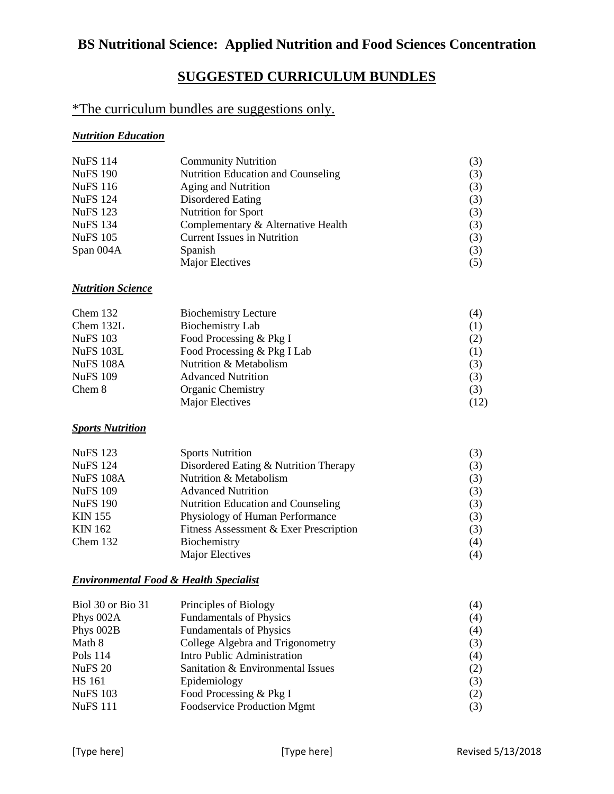# **BS Nutritional Science: Applied Nutrition and Food Sciences Concentration**

## **SUGGESTED CURRICULUM BUNDLES**

### \*The curriculum bundles are suggestions only.

#### *Nutrition Education*

| <b>NuFS</b> 114 | <b>Community Nutrition</b>         | (3) |
|-----------------|------------------------------------|-----|
| <b>NuFS 190</b> | Nutrition Education and Counseling | (3) |
| <b>NuFS</b> 116 | Aging and Nutrition                | (3) |
| <b>NuFS</b> 124 | Disordered Eating                  | (3) |
| <b>NuFS</b> 123 | Nutrition for Sport                | (3) |
| <b>NuFS</b> 134 | Complementary & Alternative Health | (3) |
| <b>NuFS 105</b> | <b>Current Issues in Nutrition</b> | (3) |
| Span 004A       | Spanish                            | (3) |
|                 | Major Electives                    | (5) |

#### *Nutrition Science*

| Chem $132$      | <b>Biochemistry Lecture</b> | (4)  |
|-----------------|-----------------------------|------|
| Chem 132L       | Biochemistry Lab            | (1)  |
| <b>NuFS 103</b> | Food Processing & Pkg I     | (2)  |
| NuFS 103L       | Food Processing & Pkg I Lab | (1)  |
| NuFS 108A       | Nutrition & Metabolism      | (3)  |
| <b>NuFS 109</b> | <b>Advanced Nutrition</b>   | (3)  |
| Chem 8          | <b>Organic Chemistry</b>    | (3)  |
|                 | Major Electives             | (12) |

#### *Sports Nutrition*

| <b>NuFS 123</b>  | <b>Sports Nutrition</b>                   | (3) |
|------------------|-------------------------------------------|-----|
| <b>NuFS</b> 124  | Disordered Eating & Nutrition Therapy     | (3) |
| <b>NuFS 108A</b> | Nutrition & Metabolism                    | (3) |
| <b>NuFS 109</b>  | <b>Advanced Nutrition</b>                 | (3) |
| <b>NuFS 190</b>  | <b>Nutrition Education and Counseling</b> | (3) |
| <b>KIN 155</b>   | Physiology of Human Performance           | (3) |
| <b>KIN 162</b>   | Fitness Assessment & Exer Prescription    | (3) |
| Chem $132$       | Biochemistry                              | (4) |
|                  | Major Electives                           | (4) |

#### *Environmental Food & Health Specialist*

| Biol 30 or Bio 31 | Principles of Biology             | (4) |
|-------------------|-----------------------------------|-----|
| Phys 002A         | <b>Fundamentals of Physics</b>    | (4) |
| Phys 002B         | <b>Fundamentals of Physics</b>    | (4) |
| Math 8            | College Algebra and Trigonometry  | (3) |
| Pols 114          | Intro Public Administration       | (4) |
| <b>NuFS 20</b>    | Sanitation & Environmental Issues | (2) |
| <b>HS</b> 161     | Epidemiology                      | (3) |
| <b>NuFS 103</b>   | Food Processing & Pkg I           | (2) |
| <b>NuFS</b> 111   | Foodservice Production Mgmt       | (3) |